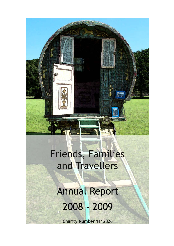# Friends, Families and Travellers

**Annual Report** 2008 - 2009

**Charity Number 1112326**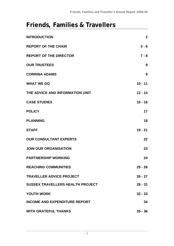# **Friends, Families & Travellers**

| <b>INTRODUCTION</b>                     | $\mathbf{2}$ |
|-----------------------------------------|--------------|
| <b>REPORT OF THE CHAIR</b>              | $3 - 6$      |
| <b>REPORT OF THE DIRECTOR</b>           | $7 - 8$      |
| <b>OUR TRUSTEES</b>                     | 9            |
| <b>CORRINA ADAMS</b>                    | 9            |
| <b>WHAT WE DO</b>                       | $10 - 11$    |
| THE ADVICE AND INFORMATION UNIT         | $12 - 14$    |
| <b>CASE STUDIES</b>                     | $15 - 16$    |
| <b>POLICY</b>                           | 17           |
| <b>PLANNING</b>                         | 18           |
| <b>STAFF</b>                            | $19 - 21$    |
| <b>OUR CONSULTANT EXPERTS</b>           | 22           |
| <b>JOIN OUR ORGANISATION</b>            | 23           |
| <b>PARTNERSHIP WORKING</b>              | 24           |
| <b>REACHING COMMUNITIES</b>             | $25 - 26$    |
| <b>TRAVELLER ADVICE PROJECT</b>         | $26 - 27$    |
| <b>SUSSEX TRAVELLERS HEALTH PROJECT</b> | $28 - 31$    |
| <b>YOUTH WORK</b>                       | $32 - 33$    |
| <b>INCOME AND EXPENDITURE REPORT</b>    | 34           |
| <b>WITH GRATEFUL THANKS</b>             | $35 - 36$    |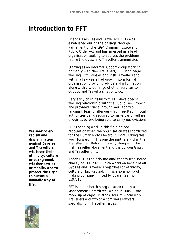# **Introduction to FFT**

Friends, Families and Travellers (FFT) was established during the passage through Parliament of the 1994 Criminal Justice and Public Order Act and has emerged as a lead organisation seeking to address the problems facing the Gypsy and Traveller communities.

Starting as an informal support group working primarily with New Travellers, FFT soon began working with Gypsies and Irish Travellers and within a few years had grown into a formal organisation providing advice and information along with a wide range of other services to Gypsies and Travellers nationwide.

Very early on in its history, FFT developed a working relationship with the Public Law Project and provided crucial ground work for two landmark legal challenges which resulted in local authorities being required to make basic welfare enquiries before being able to carry out evictions.

FFT's ongoing work in this field gained recognition when the organisation was shortlisted for the Human Rights Award in 1999. Taking this work forward, FFT is one the partners within the Traveller Law Reform Project, along with the Irish Traveller Movement and the London Gypsy and Traveller Unit.

Today FFT is the only national charity (registered charity no. 1112326) which works on behalf of all Gypsies and Travellers regardless of ethnicity, culture or background. FFT is also a non-profit making company limited by guarantee (no. 3597515).

FFT is a membership organisation run by a Management Committee, which in 2008/9 was made up of eight Trustees, four of whom were Travellers and two of whom were lawyers specialising in Traveller issues.



*We seek to end racism and discrimination against Gypsies and Travellers, whatever their ethnicity, culture or background, whether settled or mobile, and to protect the right to pursue a nomadic way of life.*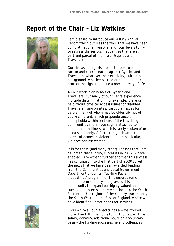

I am pleased to introduce our 2008/9 Annual Report which outlines the work that we have been doing at national, regional and local levels to try to redress the serious inequalities that are still part and parcel of the life of Gypsies and Travellers.

Our aim as an organisation is to seek to end racism and discrimination against Gypsies and Travellers, whatever their ethnicity, culture or background, whether settled or mobile, and to protect the right to pursue a nomadic way of life.

All our work is on behalf of Gypsies and Travellers, but many of our clients experience multiple discrimination. For example, there can be difficult physical access issues for disabled Travellers living on sites, particular issues for carers (many of whom may be older siblings of young children), a high preponderance of homophobia within sections of the travelling communities and a huge stigma attached to mental health illness, which is rarely spoken of or discussed openly. A further major issue is the extent of domestic violence and, in particular, violence against women.

It is for these (and many other) reasons that I am delighted that funding successes in 2008-09 have enabled us to expand further and that this success has continued into the first part of 2009/10 with the news that we have been awarded funding from the Communities and Local Government Department under its 'Tackling Racial Inequalities' programme. This ensures some medium term stability and gives us this opportunity to expand our highly valued and successful projects and services local to the South East into other regions of the country, particularly the South West and the East of England, where we have identified unmet needs for services.



Chris Whitwell our Director has always worked more than full time hours for FFT on a part time salary, donating additional hours on a voluntary basis – the funding successes he and colleagues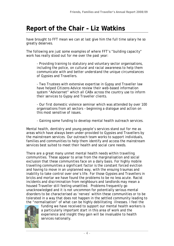have brought to FFT mean we can at last give him the full time salary he so greatly deserves.

The following are just some examples of where FFT's "building capacity" work has really stood out for me over the past year:

- Providing training to statutory and voluntary sector organisations, including the police, on cultural and racial awareness to help them communicate with and better understand the unique circumstances of Gypsies and Travellers.

- Two Trustees with extensive expertise in Gypsy and Traveller law have helped Citizens Advice review their web-based information system "Advisornet" which all CABx across the country use to inform their services to Gypsy and Traveller clients.

- Our first domestic violence seminar which was attended by over 100 organisations from all sectors – beginning a dialogue and action on this most sensitive of issues.

- Gaining some funding to develop mental health outreach services.

Mental health, dentistry and young people's services stand out for me as areas which have always been under-provided to Gypsies and Travellers by the mainstream services. Our outreach team works to support individuals, families and communities to help them identify and access the mainstream services best suited to meet their health and social care needs.

There are a great many unmet mental health needs within travelling communities. These appear to arise from the marginalisation and social exclusion that these communities face on a daily basis. For highly mobile travelling communities a significant factor is the constant forced eviction and having to move in an unplanned way, with the ensuing traumas and inability to take control over one's life. For those Gypsies and Travellers in bricks and mortar we have found the problems to be no less acute. Racist incidents and discrimination from neighbours and landlords may mean a housed Traveller still feeling unsettled. Problems frequently go unacknowledged and it is not uncommon for potentially serious mental disorders to be characterised as 'nerves' within these communities or to be tolerated in a way that does not happen in the settled community leading to the "normalisation" of what can be highly debilitating illnesses. I feel the



funding we have received to support our mental health workers is a particularly important start in this area of work and the experience and insight they gain will be invaluable to health services nationally.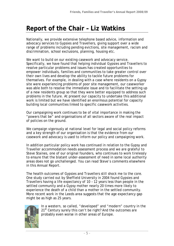Nationally, we provide extensive telephone based advice, information and advocacy services to Gypsies and Travellers, giving support over a wide range of problems including pending evictions, site management, racism and discrimination, school exclusions, planning, housing etc.

We want to build on our existing casework and advocacy service. Specifically, we have found that helping individual Gypsies and Travellers to resolve particular problems and issues has created opportunities to empower individuals, families and communities to take greater control over their own lives and develop the ability to tackle future problems for themselves. For example, in dealing with a case where residents on a Gypsy site were experiencing problems of poor site management, our caseworker was able both to resolve the immediate issue and to facilitate the setting up of a new residents group so that they were better equipped to address such problems in the future. At present our capacity to undertake this additional work is limited but we have identified an enormous potential for capacity building local communities linked to specific casework activities.

Our campaigning work continues to be of vital importance in making the "powers that be" and organisations of all sectors aware of the real impact of policies on the ground.

We campaign vigorously at national level for legal and social policy reforms and a key strength of our organisation is that the evidence from our casework and advocacy is used to inform our policy and campaigning work.

In addition particular policy work has continued in relation to the Gypsy and Traveller accommodation needs assessment process and we are grateful to Steve Staines, one of our original founders, who continues to work tirelessly to ensure that the blatant under-assessment of need in some local authority areas does not go unchallenged. You can read Steve's comments elsewhere in this Annual Report.

The health outcomes of Gypsies and Travellers still shock me to the core. One study carried out by Sheffield University in 2004 found Gypsies and Travellers having a life expectancy of 10 – 12 years less than people in the settled community and a Gypsy mother nearly 20 times more likely to experience the death of a child than a mother in the settled community. More recent work in the Leeds area suggests that the age expectancy gap might be as high as 25 years.



In a western, so called, "developed" and "modern" country in the 21<sup>st</sup> Century surely this can't be right? And the outcomes are probably even worse in other areas of Europe.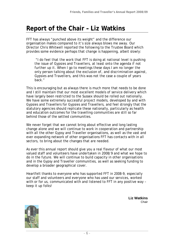FFT has always "punched above its weight" and the difference our organisation makes compared to it's size always blows me away. Our Director Chris Whitwell reported the following to the Trustee Board which provides some evidence perhaps that change is happening, albeit slowly:

 "*I do feel that the work that FFT is doing at national level is pushing the issue of Gypsies and Travellers, at least onto the agenda if not further up it. When I go to meetings these days I am no longer the only person talking about the exclusion of, and discrimination against, Gypsies and Travellers, and this was not the case a couple of years back*."

This is encouraging but as always there is much more that needs to be done and I still maintain that our most excellent models of service delivery which have largely been restricted to the Sussex should be rolled out nationally. We have some extremely successful project models, developed by and with Gypsies and Travellers for Gypsies and Travellers, and feel strongly that the statutory agencies should replicate these nationally, particularly as health and education outcomes for the travelling communities are still so far behind those of the settled communities.

We never forget that we cannot bring about effective and long lasting change alone and we will continue to work in cooperation and partnership with all the other Gypsy and Traveller organisations, as well as the vast and ever expanding network of other organisations FFT has contacts with in all sectors, to bring about the changes that are needed.

As ever this annual report should give you a real flavour of what our most valued staff and volunteers have undertaken in 2008/9 and what we hope to do in the future. We will continue to build capacity in other organisations and in the Gypsy and Traveller communities, as well as seeking funding to develop a broader geographical cover.

Heartfelt thanks to everyone who has supported FFT in 2008-9, especially our staff and volunteers and everyone who has used our services, worked with or for us, communicated with and listened to FFT in any positive way – keep it up folks!

> **Liz Watkins**  Chair

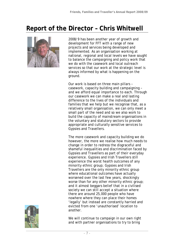# **Report of the Director – Chris Whitwell**



2008/9 has been another year of growth and development for FFT with a range of new projects and services being developed and implemented. As an organisation working at national, regional and local levels we have sought to balance the campaigning and policy work that we do with the casework and local outreach services so that our work at the strategic level is always informed by what is happening on the ground.

Our work is based on three main pillars – casework, capacity building and campaigning – and we afford equal importance to each. Through our casework we can make a real and lasting difference to the lives of the individuals and families that we help but we recognise that, as a relatively small organisation, we can only meet a small part of the need and so we also work to build the capacity of mainstream organisations in the voluntary and statutory sectors to provide appropriate and culturally sensitive services to Gypsies and Travellers.

The more casework and capacity building we do however, the more we realise how much needs to change in order to redress the disgraceful and shameful inequalities and discrimination faced by Gypsies and Travellers as part of their everyday experience. Gypsies and Irish Travellers still experience the worst health outcomes of any minority ethnic group; Gypsies and Irish Travellers are the only minority ethnic group where educational outcomes have actually worsened over the last few years, shockingly worse than for any other minority ethnic group; and it almost beggars belief that in a civilised society we can still accept a situation where there are around 25,000 people who have nowhere where they can place their homes 'legally' but instead are constantly harried and evicted from one 'unauthorised' location to another.



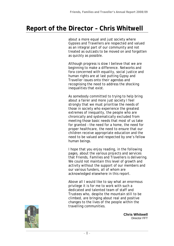### **Report of the Director – Chris Whitwell**

about a more equal and just society where Gypsies and Travellers are respected and valued as an integral part of our community and not treated as outcasts to be moved on and forgotten as quickly as possible.

Although progress is slow I believe that we are beginning to make a difference. Networks and fora concerned with equality, social justice and human rights are at last putting Gypsy and Traveller issues onto their agendas and recognising the need to address the shocking inequalities that exist.

As somebody committed to trying to help bring about a fairer and more just society I feel strongly that we must prioritise the needs of those in society who experience the greatest extremes of inequality, the people who are chronically and systematically excluded from meeting those basic needs that most of us take for granted – the need for a home, the need for proper healthcare, the need to ensure that our children receive appropriate education and the need to be valued and respected by one's fellow human beings.

I hope that you enjoy reading, in the following pages, about the various projects and services that Friends, Families and Travellers is delivering. We could not maintain this level of growth and activity without the support of our members and our various funders, all of whom are acknowledged elsewhere in this report.

Above all I would like to say what an enormous privilege it is for me to work with such a dedicated and talented team of staff and Trustees who, despite the mountain still to be climbed, are bringing about real and positive changes to the lives of the people within the travelling communities.



**Chris Whitwell**  Director FFT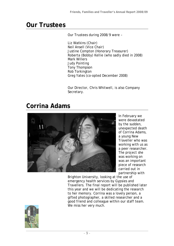# **Our Trustees**

Our Trustees during 2008/9 were –

Liz Watkins (Chair) Neil Ansell (Vice Chair) Justine Compton (Honorary Treasurer) Roberta (Bobby) Kellie (who sadly died in 2008) Mark Willers Judy Pointing Tony Thompson Rob Torkington Greg Yates (co-opted December 2008)

Our Director, Chris Whitwell, is also Company Secretary.

# **Corrina Adams**



In February we were devastated by the sudden, unexpected death of Corrina Adams, a young New Traveller who was working with us as a peer researcher. The project she was working on was an important piece of research carried out in partnership with

Brighton University, looking at the use of emergency health services by Gypsies and Travellers. The final report will be published later this year and we will be dedicating the research to her memory. Corrina was a lovely person, a gifted photographer, a skilled researcher and a good friend and colleague within our staff team. We miss her very much.

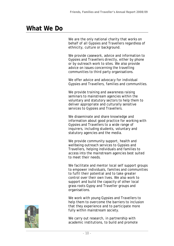### **What We Do**

We are the only national charity that works on behalf of all Gypsies and Travellers regardless of ethnicity, culture or background.

We provide casework, advice and information to Gypsies and Travellers directly, either by phone or by outreach work to sites. We also provide advice on issues concerning the travelling communities to third party organisations.

We offer advice and advocacy for individual Gypsies and Travellers, families and communities.

We provide training and awareness raising seminars to mainstream agencies within the voluntary and statutory sectors to help them to deliver appropriate and culturally sensitive services to Gypsies and Travellers.

We disseminate and share knowledge and information about good practice for working with Gypsies and Travellers to a wide range of inquirers, including students, voluntary and statutory agencies and the media.

We provide community support, health and wellbeing outreach services to Gypsies and Travellers, helping individuals and families to access into the mainstream agencies best suited to meet their needs.

We facilitate and mentor local self support groups to empower individuals, families and communities to fulfil their potential and to take greater control over their own lives. We also work to support and build the capacity of other local grass roots Gypsy and Traveller groups and organisations.

We work with young Gypsies and Travellers to help them to overcome the barriers to inclusion that they experience and to participate more fully within mainstream society.

We carry out research, in partnership with academic institutions, to build and promote

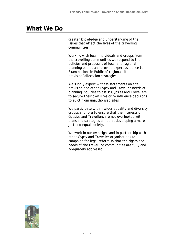### **What We Do**

greater knowledge and understanding of the issues that affect the lives of the travelling communities.

Working with local individuals and groups from the travelling communities we respond to the policies and proposals of local and regional planning bodies and provide expert evidence to Examinations in Public of regional site provision/allocation strategies.

We supply expert witness statements on site provision and other Gypsy and Traveller needs at planning inquiries to assist Gypsies and Travellers to secure their own sites or to influence decisions to evict from unauthorised sites.

We participate within wider equality and diversity groups and fora to ensure that the interests of Gypsies and Travellers are not overlooked within plans and strategies aimed at developing a more just and equal society.

We work in our own right and in partnership with other Gypsy and Traveller organisations to campaign for legal reform so that the rights and needs of the travelling communities are fully and adequately addressed.

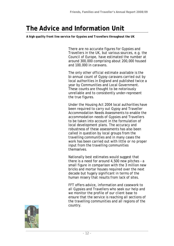# **The Advice and Information Unit**

*A high quality front line service for Gypsies and Travellers throughout the UK* 

There are no accurate figures for Gypsies and Travellers in the UK, but various sources, e.g. the Council of Europe, have estimated the number at around 300,000 comprising about 200,000 housed and 100,000 in caravans.

The only other official estimate available is the bi-annual count of Gypsy caravans carried out by local authorities in England and published twice a year by Communities and Local Government. These counts are thought to be notoriously unreliable and to consistently under-represent the true figures.

Under the Housing Act 2004 local authorities have been required to carry out Gypsy and Traveller Accommodation Needs Assessments to enable the accommodation needs of Gypsies and Travellers to be taken into account in the formulation of local development plans. The accuracy and robustness of these assessments has also been called in question by local groups from the travelling communities and in many cases the work has been carried out with little or no proper input from the travelling communities themselves.

Nationally best estimates would suggest that there is a need for around 4,500 new pitches – a small figure in comparison with the 3 million new bricks and mortar houses required over the next decade but hugely significant in terms of the human misery that results from lack of sites.

FFT offers advice, information and casework to all Gypsies and Travellers who seek our help and we monitor the profile of our client base to ensure that the service is reaching all sections of the travelling communities and all regions of the country.

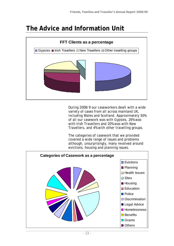### **The Advice and Information Unit**



During 2008/9 our caseworkers dealt with a wide variety of cases from all across mainland UK, including Wales and Scotland. Approximately 50% of all our casework was with Gypsies, 26% was with Irish Travellers and 20% was with New Travellers, and 4% with other travelling groups.

The categories of casework that we provided covered a wide range of issues and problems although, unsurprisingly, many revolved around evictions, housing and planning issues.

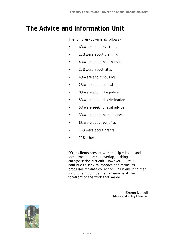### **The Advice and Information Unit**

The full breakdown is as follows –

- 6% were about evictions
- 11% were about planning
- 4% were about health issues
- 22% were about sites
- 4% were about housing
- 2% were about education
- 8% were about the police
- 5% were about discrimination
- 5% were seeking legal advice
- 3% were about homelessness
- 8% were about benefits
- 10% were about grants
- 11% other

Often clients present with multiple issues and sometimes these can overlap, making categorisation difficult. However FFT will continue to seek to improve and refine its processes for data collection whilst ensuring that strict client confidentiality remains at the forefront of the work that we do.

> **Emma Nuttall** Advice and Policy Manager

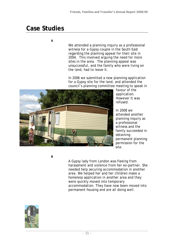### **Case Studies**

#### *A*

We attended a planning inquiry as a professional witness for a Gypsy couple in the South East regarding the planning appeal for their site in 2004. This involved arguing the need for more sites in the area. The planning appeal was unsuccessful, and the family who were living on the land, had to leave it.

In 2006 we submitted a new planning application for a Gypsy site for the land, and attended the council's planning committee meeting to speak in



favour of the application. However it was refused.

In 2008 we attended another planning inquiry as a professional witness and the family succeeded in obtaining permanent planning permission for the site.

*B* 

A Gypsy lady from London was fleeing from harassment and violence from her ex-partner. She needed help securing accommodation in another area. We helped her and her children make a homeless application in another area and they were quickly moved into temporary accommodation. They have now been moved into permanent housing and are all doing well.

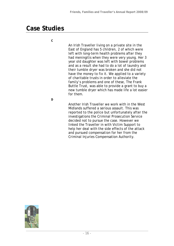### **Case Studies**

*C* 

An Irish Traveller living on a private site in the East of England has 5 children, 2 of which were left with long-term health problems after they had meningitis when they were very young. Her 3 year old daughter was left with bowel problems and as a result she had to do a lot of laundry and their tumble dryer was broken and she did not have the money to fix it. We applied to a variety of charitable trusts in order to alleviate the family's problems and one of these, The Frank Buttle Trust, was able to provide a grant to buy a new tumble dryer which has made life a lot easier for them.

*D* 

Another Irish Traveller we work with in the West Midlands suffered a serious assault. This was reported to the police but unfortunately after the investigations the Criminal Prosecution Service decided not to pursue the case. However we linked the Traveller in with Victim Support to help her deal with the side effects of the attack and pursued compensation for her from the Criminal Injuries Compensation Authority.

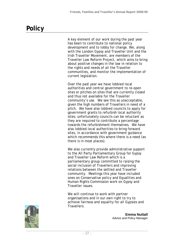# **Policy**

A key element of our work during the past year has been to contribute to national policy development and to lobby for change. We, along with the London Gypsy and Traveller Unit and the Irish Traveller Movement, are members of the Traveller Law Reform Project, which aims to bring about positive changes in the law in relation to the rights and needs of all the Traveller communities, and monitor the implementation of current legislation.

Over the past year we have lobbied local authorities and central government to re-open sites or pitches on sites that are currently closed and thus not available for the Traveller community's use. We see this as unacceptable, given the high numbers of Travellers in need of a pitch. We have also lobbied councils to apply for government grants to refurbish local authority sites; unfortunately councils can be reluctant as they are required to contribute a percentage towards the refurbishment themselves. We have also lobbied local authorities to bring forward sites, in accordance with government guidance which recommends this where there is a need (as there is in most places).

We also currently provide administrative support to the All Party Parliamentary Group for Gypsy and Traveller Law Reform which is a parliamentary group committed to raising the social inclusion of Travellers and improving relations between the settled and Traveller community. Meetings this year have included ones on Conservative policy and Equalities and Human Rights Commission work on Gypsy and Traveller issues.

We will continue to work with partner organisations and in our own right to try to achieve fairness and equality for all Gypsies and Travellers.



**Emma Nuttall** Advice and Policy Manager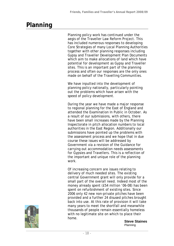# **Planning**

Planning policy work has continued under the aegis of the Traveller Law Reform Project. This has included numerous responses to developing Core Strategies of many Local Planning Authorities together with other planning responses including Gypsy and Traveller Development Plan Documents which aim to make allocations of land which have potential for development as Gypsy and Traveller sites. This is an important part of the planning process and often our responses are the only ones made on behalf of the Travelling Communities.

We have inputted into the development of planning policy nationally, particularly pointing out the problems which have arisen with the speed of policy development.

During the year we have made a major response to regional planning for the East of England and attended the Examination In Public in October. As a result of our submissions, with others, there have been small increases made by the Planning Inspectorate in pitch allocation numbers to local authorities in the East Region. Additionally our submissions have pointed up the problems with the assessment process and we hope that in due course these issues will be addressed by Government via a revision of the Guidance for carrying out accommodation needs assessments for Gypsies and Travellers. This is a reflection of the important and unique role of the planning work.

Of increasing concern are issues relating to delivery of much needed sites. The existing central Government grant will only provide for a small part of the overall need. Indeed most of the money already spent (£54 million '06-08) has been spent on refurbishment of existing sites. Since 2006 only 42 new non-private pitches have been provided and a further 24 disused pitches brought back into use. At this rate of provision it will take many years to meet the shortfall and meanwhile thousands of people remain essentially homeless with no legitimate site on which to place their home.

**Steve Staines**  Planning

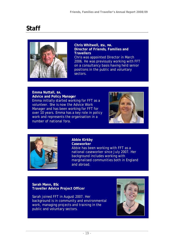# **Staff**



**Chris Whitwell, BSc, MA. Director of Friends, Families and Travellers**  Chris was appointed Director in March 2006. He was previously working with FFT on a consultancy basis having held senior positions in the public and voluntary sectors.

**Emma Nuttall, BA. Advice and Policy Manager**  Emma initially started working for FFT as a volunteer. She is now the Advice Work Manager and has been working for FFT for over 10 years. Emma has a key role in policy work and represents the organisation in a number of national fora.





#### **Abbie Kirkby**

**Caseworker**  Abbie has been working with FFT as a national caseworker since July 2007. Her background includes working with marginalised communities both in England and abroad.

**Sarah Mann, BSc Traveller Advice Project Officer** 

Sarah joined FFT in August 2007. Her background is in community and environmental work, managing projects and training in the public and voluntary sectors.

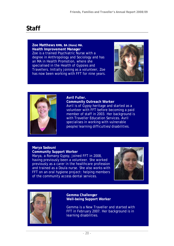# **Staff**

**Zoe Matthews RMN, BA (Hons) MA. Health Improvement Manager** Zoe is a trained Psychiatric Nurse with a degree in Anthropology and Sociology and has an MA in Health Promotion, where she specialised in the Health of Gypsies and Travellers. Initially joining as a volunteer, Zoe has now been working with FFT for nine years.





#### **Avril Fuller.**

**Community Outreach Worker**  Avril is of Gypsy heritage and started as a volunteer with FFT before becoming a paid member of staff in 2003. Her background is with Traveller Education Services. Avril specialises in working with vulnerable people/learning difficulties/disabilities.

#### **Marya Sadouni Community Support Worker**

Marya, a Romany Gypsy, joined FFT in 2008, having previously been a volunteer. She worked previously as a carer in the healthcare profession and trained as a Doula nurse. She also works with FFT on an oral hygiene project: helping members of the community access dental services.





**Gemma Challenger Well-being Support Worker** 

Gemma is a New Traveller and started with FFT in February 2007. Her background is in learning disabilities.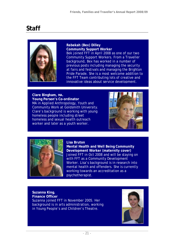# **Staff**



**Rebekah (Bex) Dilley Community Support Worker**  Bek joined FFT in April 2008 as one of our two Community Support Workers. From a Traveller background, Bex has worked in a number of previous posts including managing the security at fairs and festivals and managing the Brighton Pride Parade. She is a most welcome addition to the FFT Team contributing lots of creative and innovative ideas about service development.

**Clare Bingham, MA. Young Person's Co-ordinator**  MA in Applied Anthropology, Youth and Community Work at Goldsmith University. Clare's background is working with young homeless people including street homeless and sexual health outreach worker and later as a youth worker.





#### **Lisa Bruton**

**Mental Health and Well Being Community Development Worker (maternity cover)** Joined FFT in Oct 2008 and will be staying on with FFT as a Community Development Worker. Lisa's background is in research into mental health and offenders. She is currently working towards an accreditation as a psychotherapist.

**Suzanna King. Finance Officer**  Suzanna joined FFT in November 2005. Her background is in arts administration, working in Young People's and Children's Theatre.

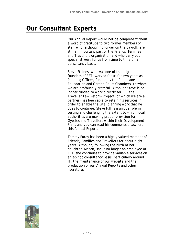# **Our Consultant Experts**

Our Annual Report would not be complete without a word of gratitude to two former members of staff who, although no longer on the payroll, are still an important part of the Friends, Families and Travellers organisation and who carry out specialist work for us from time to time on a consultancy basis.

Steve Staines, who was one of the original founders of FFT, worked for us for two years as Planning Officer, funded by the Allen Lane Foundation and Garden Court Chambers, to whom we are profoundly grateful. Although Steve is no longer funded to work directly for FFT the Traveller Law Reform Project (of which we are a partner) has been able to retain his services in order to enable the vital planning work that he does to continue. Steve fulfils a unique role in testing and challenging the extent to which local authorities are making proper provision for Gypsies and Travellers within their Development Plans and you can read his comments elsewhere in this Annual Report.

Tammy Furey has been a highly valued member of Friends, Families and Travellers for about eight years. Although, following the birth of her daughter, Megan, she is no longer an employee of FFT, she continues to provide valuable services on an ad-hoc consultancy basis, particularly around IT, the maintenance of our website and the production of our Annual Reports and other literature.

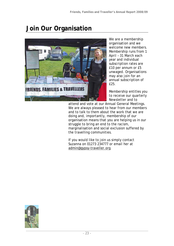# **Join Our Organisation**



We are a membership organisation and we welcome new members. Membership runs from 1 April – 31 March each year and individual subscription rates are £10 per annum or £5 unwaged. Organisations may also join for an annual subscription of £25.

Membership entitles you to receive our quarterly Newsletter and to

attend and vote at our Annual General Meetings. We are always pleased to hear from our members and to talk to them about the work that we are doing and, importantly, membership of our organisation means that you are helping us in our struggle to bring an end to the racism, marginalisation and social exclusion suffered by the travelling communities.

If you would like to join us simply contact Suzanna on 01273 234777 or email her at admin@gypsy-traveller.org.

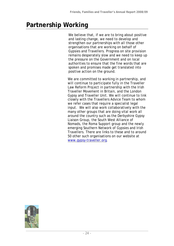# **Partnership Working**

We believe that, if we are to bring about positive and lasting change, we need to develop and strengthen our partnerships with all those other organisations that are working on behalf of Gypsies and Travellers. Progress on site provision remains desperately slow and we need to keep up the pressure on the Government and on local authorities to ensure that the fine words that are spoken and promises made get translated into positive action on the ground.

We are committed to working in partnership, and will continue to participate fully in the Traveller Law Reform Project in partnership with the Irish Traveller Movement in Britain, and the London Gypsy and Traveller Unit. We will continue to link closely with the Travellers Advice Team to whom we refer cases that require a specialist legal input. We will also work collaboratively with the many other groups that are doing vital work all around the country such as the Derbyshire Gypsy Liaison Group, the South West Alliance of Nomads, the Roma Support group and the newly emerging Southern Network of Gypsies and Irish Travellers. There are links to these and to around 50 other such organisations on our website at www.gypsy-traveller.org.

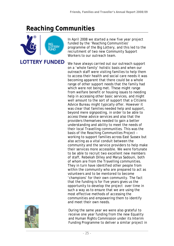# **Reaching Communities**



In April 2008 we started a new five year project funded by the 'Reaching Communities' programme of the Big Lottery, and this led to the recruitment of two new Community Support Workers to our outreach team.

We have always carried out our outreach support on a 'whole family' holistic basis and when our outreach staff were visiting families to help them to access their health and social care needs it was becoming apparent that there could be a whole range of other support needs that the family had which were not being met. These might range from welfare benefit or housing issues to needing help in accessing other basic services, and might well amount to the sort of support that a Citizens Advice Bureau might typically offer. However it was clear that families needed help and support, beyond mere signposting, in order to be able to access these advice services and also that the providers themselves needed to gain a better understanding and ability to meet the needs of their local Travelling communities. This was the basis of the Reaching Communities Project – working to support families across East Sussex but also acting as a vital conduit between the community and the service providers to help make their services more accessible. We were fortunate to be able to recruit two excellent new members of staff, Rebekah Dilley and Marya Sadouni, both of whom are from the Travelling communities. They in turn have identified other people from within the community who are prepared to act as volunteers and to be mentored to become 'champions' for their own community. The fact that the funding is for five years gives us the opportunity to develop the project over time in such a way as to ensure that we are using the most effective methods of accessing the communities and empowering them to identify and meet their own needs.



During the same year we were also grateful to receive one year funding from the new Equality and Human Rights Commission under its Interim Funding Programme to deliver a similar project in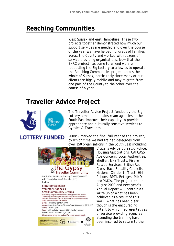# **Reaching Communities**

West Sussex and east Hampshire. These two projects together demonstrated how much our support services are needed and over the course of the year we have helped hundreds of families across the County and worked with dozens of service providing organisations. Now that the EHRC project has come to an end we are requesting the Big Lottery to allow us to operate the Reaching Communities project across the whole of Sussex, particularly since many of our clients are highly mobile and may migrate from one part of the County to the other over the course of a year.

# **Traveller Advice Project**



The Traveller Advice Project funded by the Big Lottery aimed help mainstream agencies in the South East improve their capacity to provide appropriate and culturally sensitive services to Gypsies & Travellers.

### **LOTTERY FUNDED**

2008/9 marked the final full year of the project, by which time we had trained delegates from over 150 organisations in the South East including



Citizens Advice Bureaux, Police, Housing Associations, CAFCASS, Age Concern, Local Authorities, Shelter, NHS Trusts, Fire & Rescue Services, British Red Cross, Race Equality Councils, National Childbirth Trust, HM Prisons, RPTI, Refuges, MIND and YMCA. The project ended in August 2009 and next year's Annual Report will contain a full write up of what has been achieved as a result of this work. What has been clear though is the encouraging extent to which representatives of service providing agencies attending the training have been inspired to return to their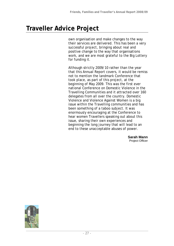# **Traveller Advice Project**

own organisation and make changes to the way their services are delivered. This has been a very successful project, bringing about real and positive change to the way that organisations work, and we are most grateful to the Big Lottery for funding it.

Although strictly 2009/10 rather than the year that this Annual Report covers, it would be remiss not to mention the landmark Conference that took place, as part of this project, at the beginning of May 2009. This was the first ever national Conference on Domestic Violence in the Travelling Communities and it attracted over 160 delegates from all over the country. Domestic Violence and Violence Against Women is a big issue within the Travelling communities and has been something of a taboo subject. It was enormously encouraging at the Conference to hear women Travellers speaking out about this issue, sharing their own experiences and beginning the long journey that will lead to an end to these unacceptable abuses of power.

> **Sarah Mann** Project Officer

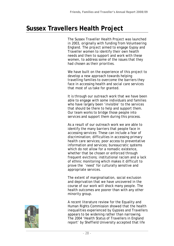The Sussex Traveller Health Project was launched in 2003, originally with funding from Volunteering England. The project aimed to engage Gypsy and Traveller women to identify their own health needs and then to support and work with these women, to address some of the issues that they had chosen as their priorities.

We have built on the experience of this project to develop a new approach towards helping travelling families to overcome the barriers they face in accessing health and social care services that most of us take for granted.

It is through our outreach work that we have been able to engage with some individuals and families who have largely been 'invisible' to the services that should be there to help and support them. Our team works to bridge those people into services and support them during this process.

As a result of our outreach work we are able to identify the many barriers that people face in accessing services: These can include a fear of discrimination; difficulties in accessing primary health care services; poor access to preventative information and services; bureaucratic systems which do not allow for a nomadic existence, whether that be chosen or enforced through frequent evictions; institutional racism and a lack of ethnic monitoring which makes it difficult to prove the 'need' for culturally sensitive and appropriate services.

The extent of marginalisation, social exclusion and deprivation that we have uncovered in the course of our work will shock many people. The health outcomes are poorer than with any other minority group.

A recent literature review for the Equality and Human Rights Commission showed that the health inequalities experienced by Gypsies and Travellers appears to be widening rather than narrowing. The 2004 'Health Status of Travellers in England report' by Sheffield University accepted that life

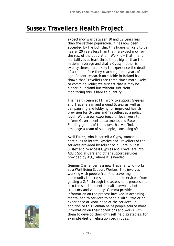expectancy was between 10 and 12 years less than the settled population. It has now been accepted by the DoH that this figure is likely to be nearer 20 years less than the life expectancy for the rest of the population. We know that infant mortality is at least three times higher than the national average and that a Gypsy mother is twenty times more likely to experience the death of a child before they reach eighteen years of age. Recent research on suicide in Ireland has shown that Travellers are three times more likely to commit suicide; we suspect that it may be higher in England but without sufficient monitoring this is hard to quantify.

The health team at FFT work to support Gypsies and Travellers in and around Sussex as well as campaigning and lobbying for improved health provision for Gypsies and Travellers at a policy level. We use our experience of local work to inform Government departments and Race Equality groups of the issues that we find. I manage a team of six people, consisting of:

Avril Fuller, who is herself a Gypsy woman, continues to inform Gypsies and Travellers of the services provided by Adult Social Care in East Sussex and to access Gypsies and Travellers into Adult Social Care and other support services provided by ASC, where it is needed.

Gemma Challenger is a new Traveller who works as a Well-Being Support Worker. This involves working with people from the travelling community to access mental health services; from getting a G.P. through the assessment process and into the specific mental health services, both statutory and voluntary. Gemma provides information on the process involved in accessing mental health services to people with little or no experience or knowledge of the services. In addition to this Gemma helps people source more information on their conditions and works with them to develop their own self help strategies, for example diet or relaxation techniques.

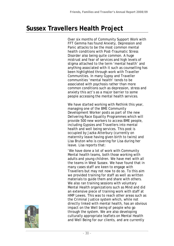Over six months of Community Support Work with FFT Gemma has found Anxiety, Depression and Panic attacks to be the most common mental health conditions with Post-Traumatic Stress Disorder also being quite common. A huge mistrust and fear of services and high levels of stigma attached to the term 'mental health' and anything associated with it such as counselling has been highlighted through work with Traveller Communities. In many Gypsy and Traveller communities 'mental health' tends to be associated with psychosis rather than more common conditions such as depression, stress and anxiety this act's as a major barrier to some people accessing the mental health services.

We have started working with Rethink this year, managing one of the BME Community Development Worker posts as part of the new Delivering Race Equality Programmes which will provide 500 new workers to access BME people, including Gypsies and Travellers into mental health and well being services. This post is occupied by Jazka Atterbury (currently on maternity leave having given birth to twins) and Lisa Bruton who is covering for Lisa during her leave. Lisa reports that:

'We have done a lot of work with Community Mental health teams, both those working with adults and young children. We have met with all the teams in West Sussex. We have found that in many cases staff are keen to engage with Travellers but may not now to do so. To this aim we provided training for staff as well as written materials to guide them and share with others. We also ran training sessions with voluntary Mental Health organizations such as Mind and did an extensive piece of training work with staff at HMP Lewes. This was to reach other areas such as the Criminal Justice system which, while not directly linked with mental health, has an obvious impact on the Well being of people who go through the system. We are also developing culturally appropriate leaflets on Mental Health and Well Being for our clients, and are currently

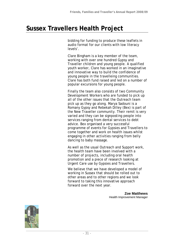bidding for funding to produce these leaflets in audio format for our clients with low literacy levels'.

Clare Bingham is a key member of the team, working with over one hundred Gypsy and Traveller children and young people. A qualified youth worker, Clare has worked in an imaginative and innovative way to build the confidence of young people in the travelleing communities. Clare has both fund raised and led on a number of popular excursions for young people.

Finally the team also consists of two Community Development Workers who are funded to pick up all of the other issues that the Outreach team pick up as they go along. Marya Sadouni is a Romany Gypsy and Rebekah Dilley (Bex) is part of the New Traveller community. Their remit is very varied and they can be signposting people into services ranging from dental services to debt advice. Bex organised a very successful programme of events for Gypsies and Travellers to come together and work on health issues whilst engaging in other activities ranging from belly dancing to baby massage.

As well as the usual Outreach and Support work, the health team have been involved with a number of projects, including oral health promotion and a piece of research looking at Urgent Care use by Gypsies and Travellers.

We believe that we have developed a model of working in Sussex that should be rolled out to other areas and to other regions and we look forward to taking this innovative approach forward over the next year.

> **Zoe Matthews**  Health Improvement Manager

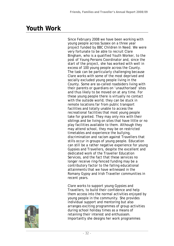### **Youth Work**

Since February 2008 we have been working with young people across Sussex on a three year project funded by BBC Children In Need. We were very fortunate to be able to recruit Clare Bingham, who is a qualified Youth Worker, to the post of Young Persons Coordinator and, since the start of the project, she has worked with well in excess of 100 young people across the County. The task can be particularly challenging because Clare works with some of the most deprived and socially excluded young people living in the County. Some are so-called roadsiders living with their parents or guardians on 'unauthorised' sites and thus likely to be moved on at any time. For these young people there is virtually no contact with the outside world; they can be stuck in remote locations far from public transport facilities and totally unable to access the recreational facilities that most young people take for granted. They may only mix with their siblings and be living on sites that have little or no play facilities available to them. Although they may attend school, they may be on restricted timetables and experience the bullying, discrimination and racism against Travellers that stills occur in groups of young people. Education can still be a rather negative experience for young Gypsies and Travellers, despite the excellent and dedicated work of the Traveller Education Services, and the fact that these services no longer receive ring-fenced funding may be a contributory factor to the falling educational attainments that we have witnessed in the Romany Gypsy and Irish Traveller communities in recent years.

Clare works to support young Gypsies and Travellers, to build their confidence and help them access into the normal activities enjoyed by young people in the community. She provides individual support and mentoring but also arranges exciting programmes of group activities during school holiday times as a means of retaining their interest and enthusiasm. Importantly she designs her work programmes

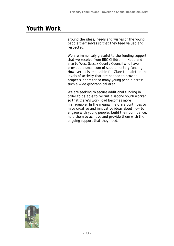# **Youth Work**

around the ideas, needs and wishes of the young people themselves so that they feed valued and respected.

We are immensely grateful to the funding support that we receive from BBC Children in Need and also to West Sussex County Council who have provided a small sum of supplementary funding. However, it is impossible for Clare to maintain the levels of activity that are needed to provide proper support for so many young people across such a wide geographical area.

We are seeking to secure additional funding in order to be able to recruit a second youth worker so that Clare's work load becomes more manageable. In the meanwhile Clare continues to have creative and innovative ideas about how to engage with young people, build their confidence, help them to achieve and provide them with the ongoing support that they need.

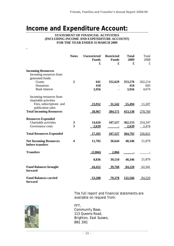### **Income and Expenditure Account:**

#### **STATEMENT OF FINANCIAL ACTIVITIES (INCLUDING INCOME AND EXPENDITURE ACCOUNT) FOR THE YEAR ENDED 31 MARCH 2009**

|                                                   | <b>Notes</b>            | <b>Unrestricted</b><br><b>Funds</b><br>£ | <b>Restricted</b><br><b>Funds</b><br>£ | <b>Total</b><br>2009<br>£ | Total<br>2008<br>$\pounds$ |
|---------------------------------------------------|-------------------------|------------------------------------------|----------------------------------------|---------------------------|----------------------------|
| <b>Incoming Resources</b>                         |                         |                                          |                                        |                           |                            |
| Incoming resources from                           |                         |                                          |                                        |                           |                            |
| generated funds:                                  |                         |                                          |                                        |                           |                            |
| Grants                                            | $\overline{2}$          | 641                                      | 352,629                                | 353,270                   | 262,214                    |
| Donations                                         |                         | 418                                      |                                        | 418                       | 605                        |
| <b>Bank Interest</b>                              |                         | 3,956                                    |                                        | 3,956                     | 4,674                      |
| Incoming resources from                           |                         |                                          |                                        |                           |                            |
| charitable activities                             |                         |                                          |                                        |                           |                            |
| Fees, subscriptions and                           |                         | 23,952                                   | 31,542                                 | 55,494                    | 11,207                     |
| publication sales                                 |                         |                                          |                                        |                           |                            |
| <b>Total Incoming Resources</b>                   |                         | 28,967                                   | 384,171                                | 413,138                   | 278,700                    |
| <b>Resources Expended</b>                         |                         |                                          |                                        |                           |                            |
| Charitable activities                             | 3                       | 14,626                                   | 347,527                                | 362,153                   | 254,347                    |
| Governance costs                                  | $\overline{\mathbf{3}}$ | 2,639                                    |                                        | 2,639                     | 2,474                      |
| <b>Total Resources Expended</b>                   |                         | 17,265                                   | 347,527                                | 364,792                   | 256,821                    |
| <b>Net Incoming Resources</b><br>before transfers | $\overline{\mathbf{4}}$ | 11,702                                   | 36,644                                 | 48,346                    | 21,879                     |
| <b>Transfers</b>                                  |                         | (2,866)                                  | 2,866                                  |                           |                            |
|                                                   |                         | 8,836                                    | 39,510                                 | 48,346                    | 21,879                     |
| <b>Fund Balances brought</b><br>forward           |                         | 44,452                                   | 39,768                                 | 84,220                    | 62,341                     |
| <b>Fund Balances carried</b><br>forward           |                         | 53,288                                   | <u>79.278</u>                          | 132,566                   | 84,220                     |

*.* 

The full report and financial statements are available on request from:

FFT, Community Base, 113 Queens Road, Brighton, East Sussex, BN1 3XG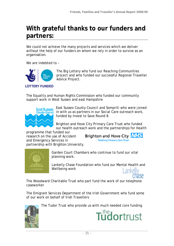### **With grateful thanks to our funders and partners:**

We could not achieve the many projects and services which we deliver without the help of our funders on whom we rely in order to survive as an organisation.

We are indebted to –



The Big Lottery who fund our Reaching Communities project and who funded our successful Regional Traveller Advice Project.

#### **LOTTERY FUNDED**

The Equality and Human Rights Commission who funded our community support work in West Sussex and east Hampshire



East Sussex County Council and Sompriti who were joined in with us as partners in our Social Care outreach work, funded by Invest to Save Round 8.

Brighton and Hove City Primary Care Trust who funded our health outreach work and the partnerships for Health

programme that funded our research on the use of Accident and Emergency Services in partnership with Brighton University.

Brighton and Hove City **NHS Teaching Primary Care Trust** 



Garden Court Chambers who continue to fund our vital planning work.

Lankelly Chase Foundation who fund our Mental Health and Wellbeing work

The Woodward Charitable Trust who part fund the work of our telephone caseworker

The Emigrant Services Department of the Irish Government who fund some of our work on behalf of Irish Travellers



The Tudor Trust who provide us with much needed core funding